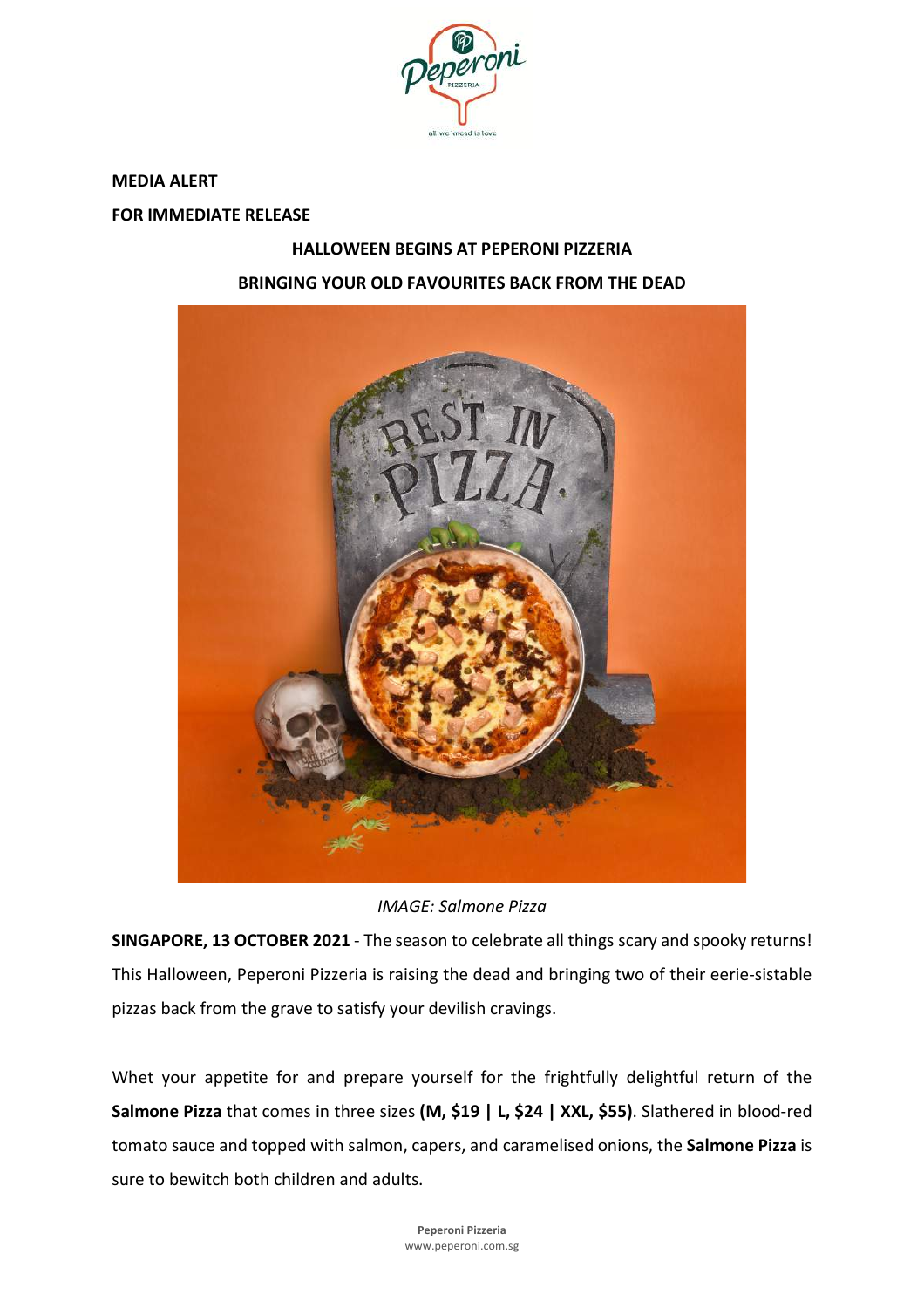

**MEDIA ALERT**

**FOR IMMEDIATE RELEASE**

# **HALLOWEEN BEGINS AT PEPERONI PIZZERIA BRINGING YOUR OLD FAVOURITES BACK FROM THE DEAD**



*IMAGE: Salmone Pizza*

**SINGAPORE, 13 OCTOBER 2021** - The season to celebrate all things scary and spooky returns! This Halloween, Peperoni Pizzeria is raising the dead and bringing two of their eerie-sistable pizzas back from the grave to satisfy your devilish cravings.

Whet your appetite for and prepare yourself for the frightfully delightful return of the **Salmone Pizza** that comes in three sizes **(M, \$19 | L, \$24 | XXL, \$55)**. Slathered in blood-red tomato sauce and topped with salmon, capers, and caramelised onions, the **Salmone Pizza** is sure to bewitch both children and adults.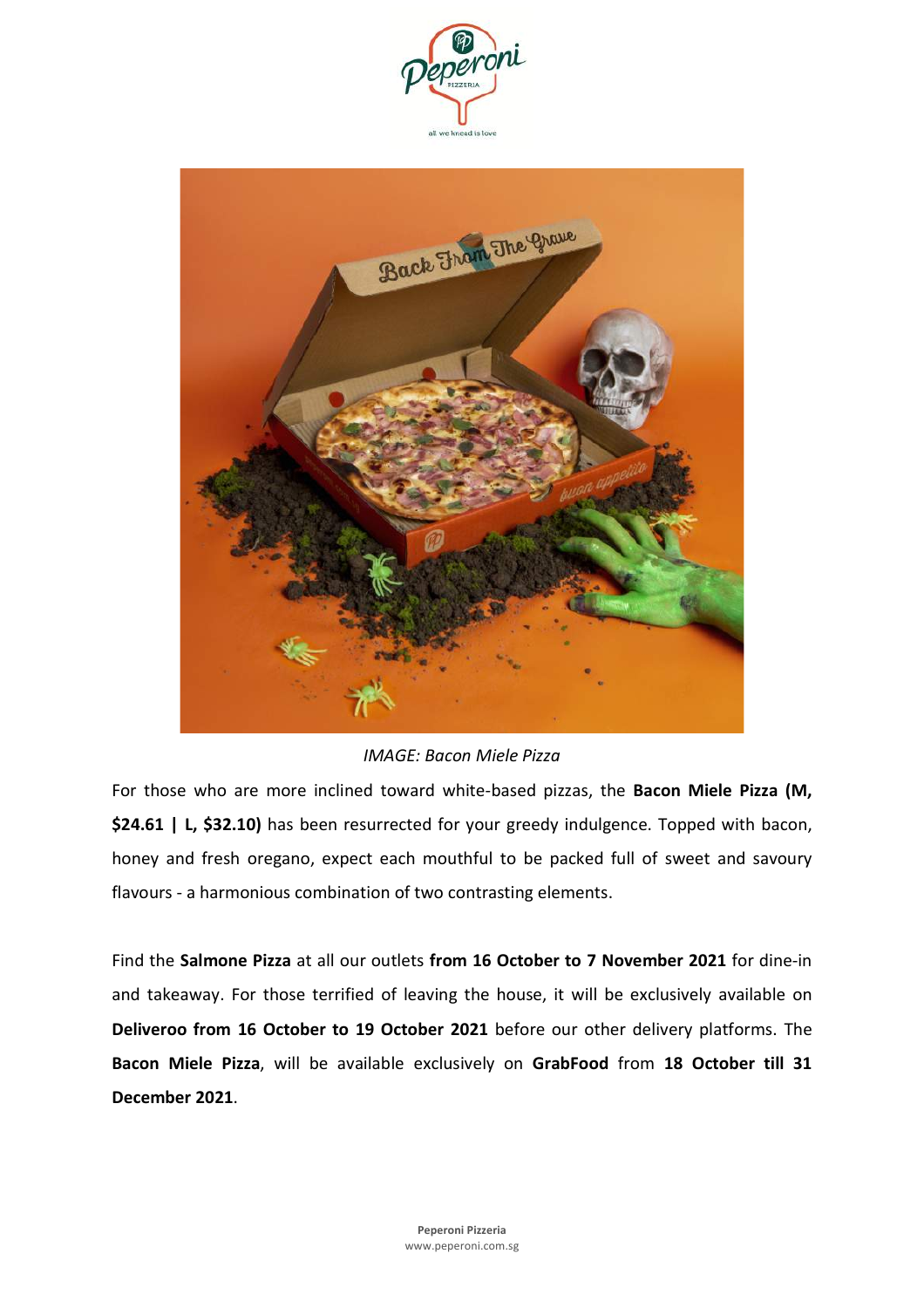



*IMAGE: Bacon Miele Pizza*

For those who are more inclined toward white-based pizzas, the **Bacon Miele Pizza (M, \$24.61 | L, \$32.10)** has been resurrected for your greedy indulgence. Topped with bacon, honey and fresh oregano, expect each mouthful to be packed full of sweet and savoury flavours - a harmonious combination of two contrasting elements.

Find the **Salmone Pizza** at all our outlets **from 16 October to 7 November 2021** for dine-in and takeaway. For those terrified of leaving the house, it will be exclusively available on **Deliveroo from 16 October to 19 October 2021** before our other delivery platforms. The **Bacon Miele Pizza**, will be available exclusively on **GrabFood** from **18 October till 31 December 2021**.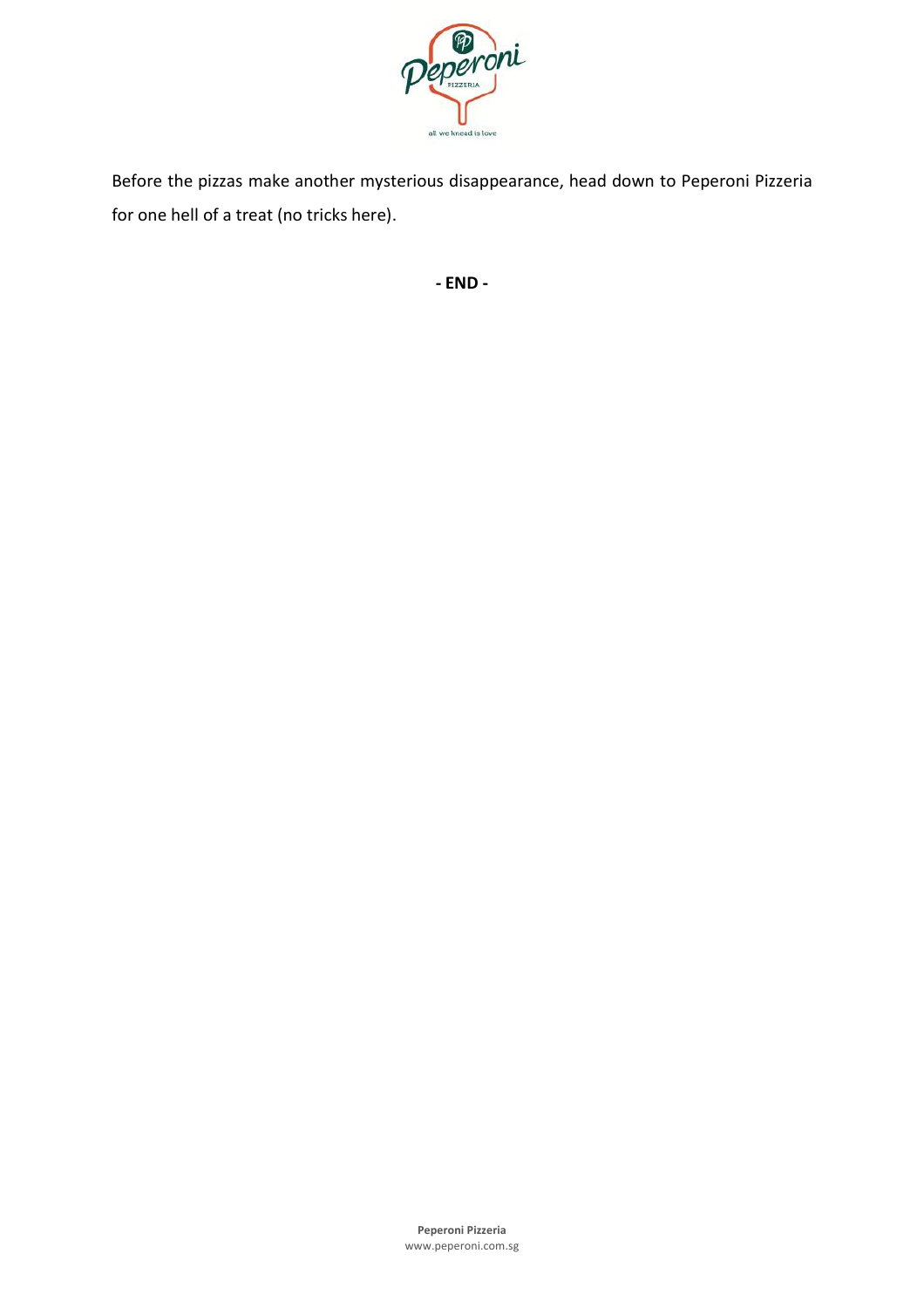

Before the pizzas make another mysterious disappearance, head down to Peperoni Pizzeria for one hell of a treat (no tricks here).

**- END -**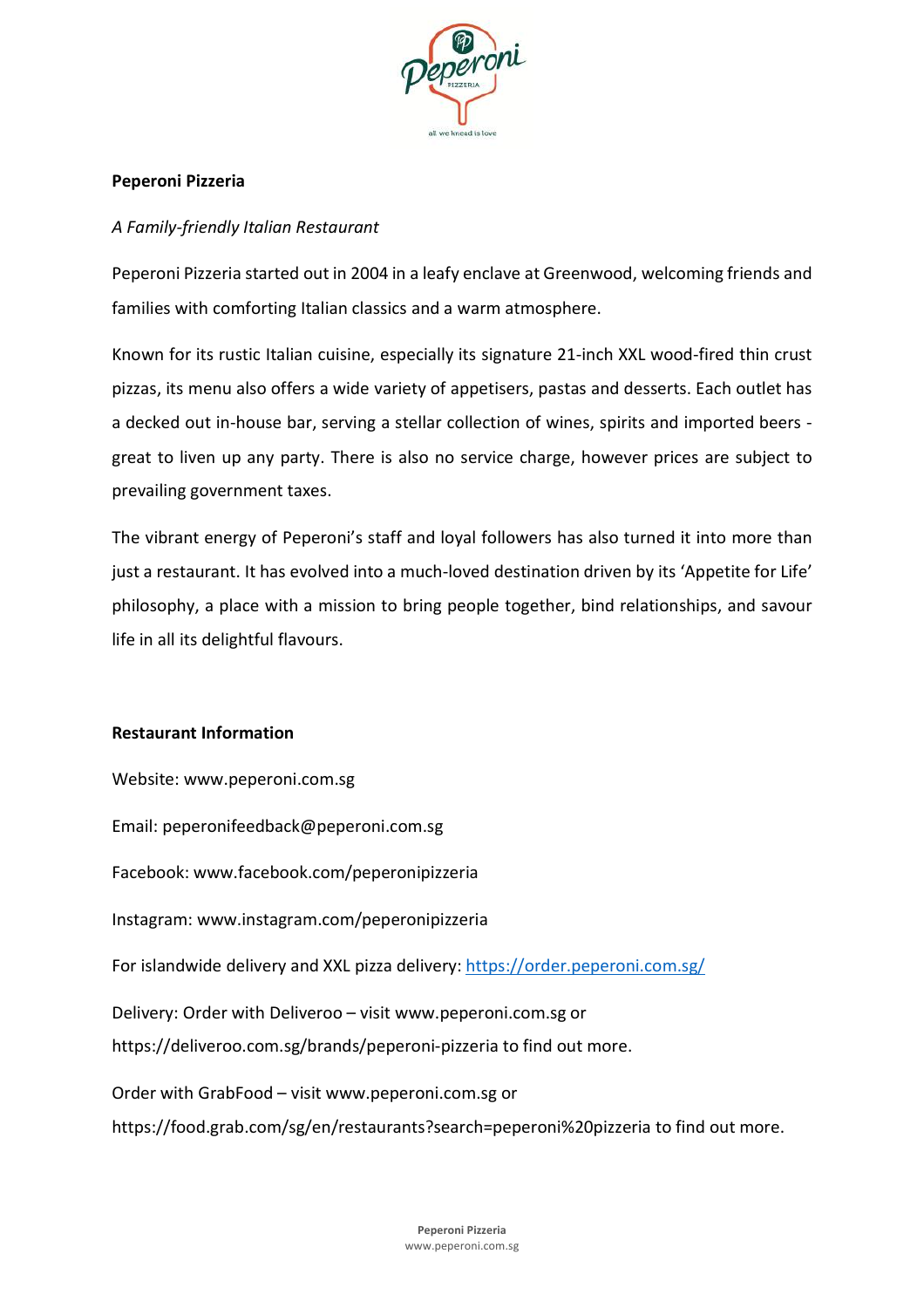

# **Peperoni Pizzeria**

## *A Family-friendly Italian Restaurant*

Peperoni Pizzeria started out in 2004 in a leafy enclave at Greenwood, welcoming friends and families with comforting Italian classics and a warm atmosphere.

Known for its rustic Italian cuisine, especially its signature 21-inch XXL wood-fired thin crust pizzas, its menu also offers a wide variety of appetisers, pastas and desserts. Each outlet has a decked out in-house bar, serving a stellar collection of wines, spirits and imported beers great to liven up any party. There is also no service charge, however prices are subject to prevailing government taxes.

The vibrant energy of Peperoni's staff and loyal followers has also turned it into more than just a restaurant. It has evolved into a much-loved destination driven by its 'Appetite for Life' philosophy, a place with a mission to bring people together, bind relationships, and savour life in all its delightful flavours.

## **Restaurant Information**

Website: www.peperoni.com.sg Email: peperonifeedback@peperoni.com.sg Facebook: www.facebook.com/peperonipizzeria Instagram: www.instagram.com/peperonipizzeria For islandwide delivery and XXL pizza delivery: https://order.peperoni.com.sg/ Delivery: Order with Deliveroo – visit www.peperoni.com.sg or https://deliveroo.com.sg/brands/peperoni-pizzeria to find out more. Order with GrabFood – visit www.peperoni.com.sg or https://food.grab.com/sg/en/restaurants?search=peperoni%20pizzeria to find out more.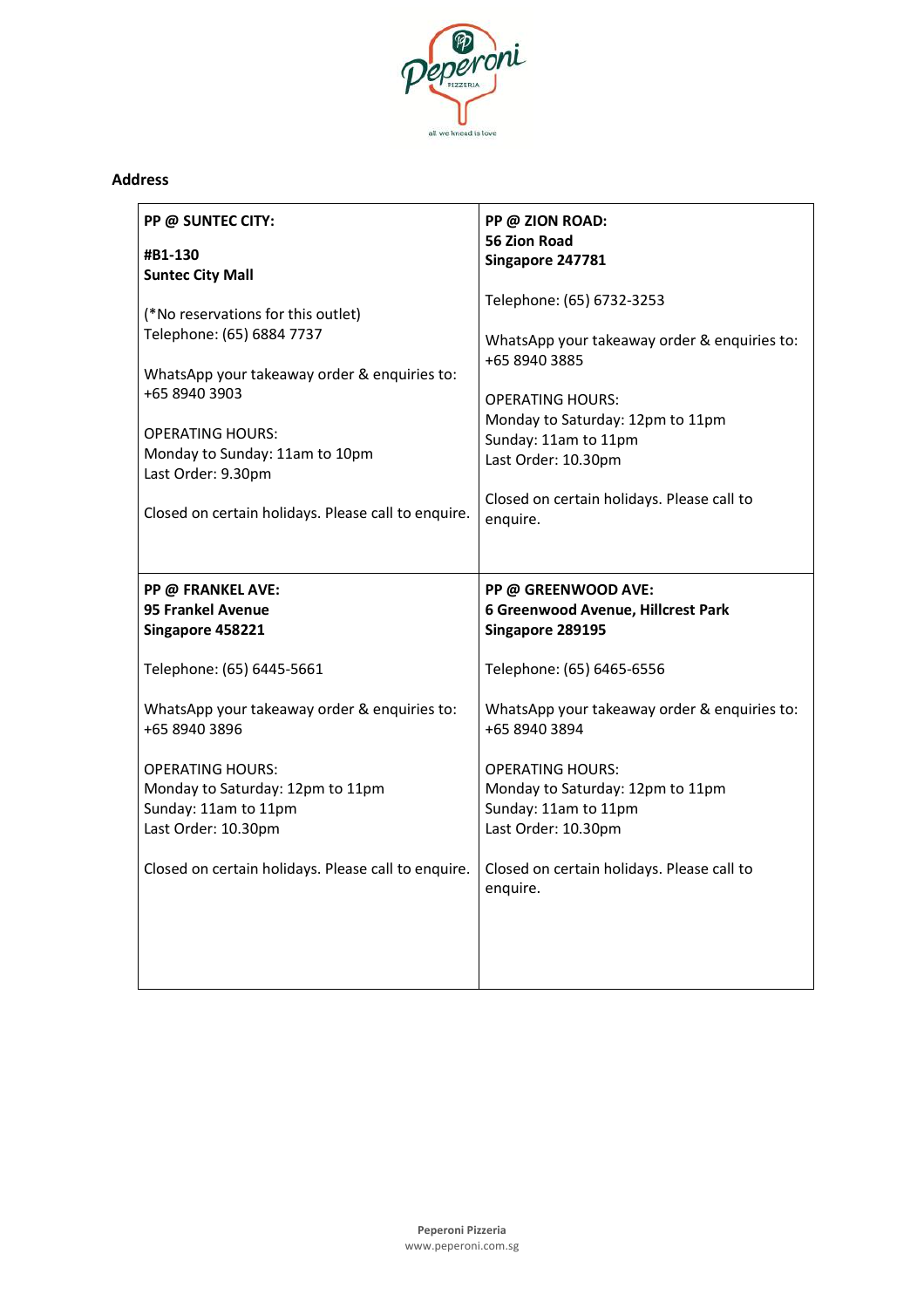

## **Address**

| PP @ SUNTEC CITY:                                                                                                                                                                                                                                                          | PP @ ZION ROAD:                                                                                                                                                                                                                                                    |
|----------------------------------------------------------------------------------------------------------------------------------------------------------------------------------------------------------------------------------------------------------------------------|--------------------------------------------------------------------------------------------------------------------------------------------------------------------------------------------------------------------------------------------------------------------|
| #B1-130                                                                                                                                                                                                                                                                    | <b>56 Zion Road</b>                                                                                                                                                                                                                                                |
| <b>Suntec City Mall</b>                                                                                                                                                                                                                                                    | Singapore 247781                                                                                                                                                                                                                                                   |
| (*No reservations for this outlet)<br>Telephone: (65) 6884 7737<br>WhatsApp your takeaway order & enquiries to:<br>+65 8940 3903<br><b>OPERATING HOURS:</b><br>Monday to Sunday: 11am to 10pm<br>Last Order: 9.30pm<br>Closed on certain holidays. Please call to enquire. | Telephone: (65) 6732-3253<br>WhatsApp your takeaway order & enquiries to:<br>+65 8940 3885<br><b>OPERATING HOURS:</b><br>Monday to Saturday: 12pm to 11pm<br>Sunday: 11am to 11pm<br>Last Order: 10.30pm<br>Closed on certain holidays. Please call to<br>enquire. |
| PP @ FRANKEL AVE:                                                                                                                                                                                                                                                          | PP @ GREENWOOD AVE:                                                                                                                                                                                                                                                |
| 95 Frankel Avenue                                                                                                                                                                                                                                                          | 6 Greenwood Avenue, Hillcrest Park                                                                                                                                                                                                                                 |
| Singapore 458221                                                                                                                                                                                                                                                           | Singapore 289195                                                                                                                                                                                                                                                   |
| Telephone: (65) 6445-5661                                                                                                                                                                                                                                                  | Telephone: (65) 6465-6556                                                                                                                                                                                                                                          |
| WhatsApp your takeaway order & enquiries to:                                                                                                                                                                                                                               | WhatsApp your takeaway order & enquiries to:                                                                                                                                                                                                                       |
| +65 8940 3896                                                                                                                                                                                                                                                              | +65 8940 3894                                                                                                                                                                                                                                                      |
| <b>OPERATING HOURS:</b>                                                                                                                                                                                                                                                    | <b>OPERATING HOURS:</b>                                                                                                                                                                                                                                            |
| Monday to Saturday: 12pm to 11pm                                                                                                                                                                                                                                           | Monday to Saturday: 12pm to 11pm                                                                                                                                                                                                                                   |
| Sunday: 11am to 11pm                                                                                                                                                                                                                                                       | Sunday: 11am to 11pm                                                                                                                                                                                                                                               |
| Last Order: 10.30pm                                                                                                                                                                                                                                                        | Last Order: 10.30pm                                                                                                                                                                                                                                                |
| Closed on certain holidays. Please call to enquire.                                                                                                                                                                                                                        | Closed on certain holidays. Please call to                                                                                                                                                                                                                         |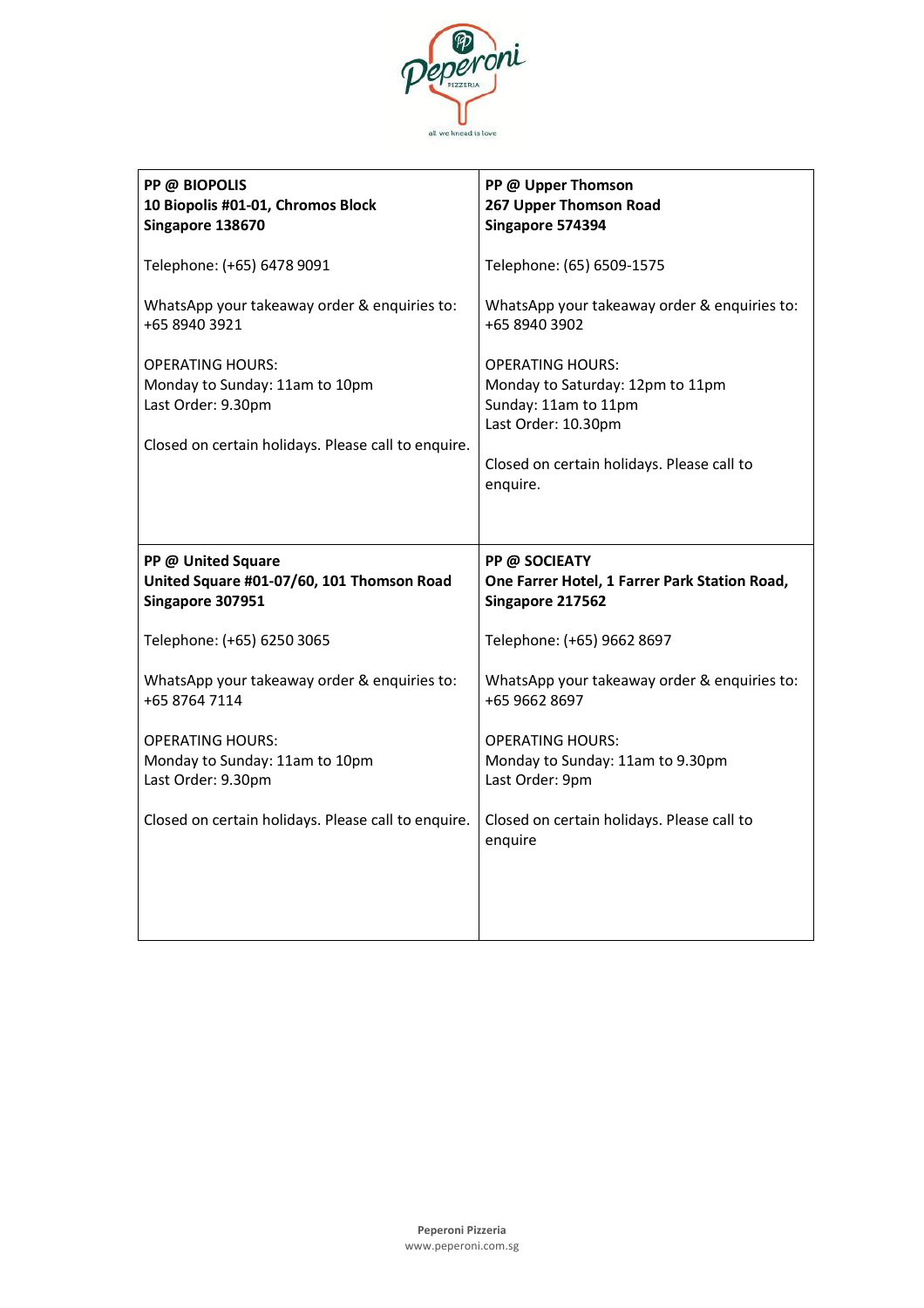

| PP @ BIOPOLIS<br>10 Biopolis #01-01, Chromos Block<br>Singapore 138670                                                                 | PP @ Upper Thomson<br>267 Upper Thomson Road<br>Singapore 574394                                                                                                     |
|----------------------------------------------------------------------------------------------------------------------------------------|----------------------------------------------------------------------------------------------------------------------------------------------------------------------|
| Telephone: (+65) 6478 9091                                                                                                             | Telephone: (65) 6509-1575                                                                                                                                            |
| WhatsApp your takeaway order & enquiries to:<br>+65 8940 3921                                                                          | WhatsApp your takeaway order & enquiries to:<br>+65 8940 3902                                                                                                        |
| <b>OPERATING HOURS:</b><br>Monday to Sunday: 11am to 10pm<br>Last Order: 9.30pm<br>Closed on certain holidays. Please call to enquire. | <b>OPERATING HOURS:</b><br>Monday to Saturday: 12pm to 11pm<br>Sunday: 11am to 11pm<br>Last Order: 10.30pm<br>Closed on certain holidays. Please call to<br>enquire. |
|                                                                                                                                        |                                                                                                                                                                      |
| PP @ United Square<br>United Square #01-07/60, 101 Thomson Road<br>Singapore 307951                                                    | PP @ SOCIEATY<br>One Farrer Hotel, 1 Farrer Park Station Road,<br>Singapore 217562                                                                                   |
| Telephone: (+65) 6250 3065                                                                                                             | Telephone: (+65) 9662 8697                                                                                                                                           |
| WhatsApp your takeaway order & enquiries to:<br>+65 8764 7114                                                                          | WhatsApp your takeaway order & enquiries to:<br>+65 9662 8697                                                                                                        |
| <b>OPERATING HOURS:</b><br>Monday to Sunday: 11am to 10pm<br>Last Order: 9.30pm                                                        | <b>OPERATING HOURS:</b><br>Monday to Sunday: 11am to 9.30pm<br>Last Order: 9pm                                                                                       |
| Closed on certain holidays. Please call to enquire.                                                                                    | Closed on certain holidays. Please call to<br>enquire                                                                                                                |
|                                                                                                                                        |                                                                                                                                                                      |